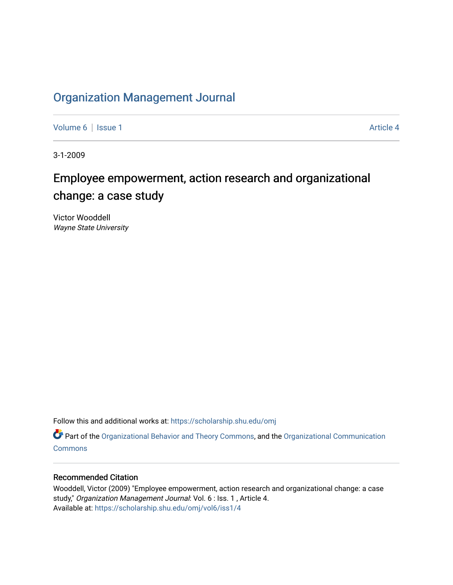## [Organization Management Journal](https://scholarship.shu.edu/omj)

[Volume 6](https://scholarship.shu.edu/omj/vol6) | [Issue 1](https://scholarship.shu.edu/omj/vol6/iss1) Article 4

3-1-2009

# Employee empowerment, action research and organizational change: a case study

Victor Wooddell Wayne State University

Follow this and additional works at: [https://scholarship.shu.edu/omj](https://scholarship.shu.edu/omj?utm_source=scholarship.shu.edu%2Fomj%2Fvol6%2Fiss1%2F4&utm_medium=PDF&utm_campaign=PDFCoverPages) 

Part of the [Organizational Behavior and Theory Commons,](http://network.bepress.com/hgg/discipline/639?utm_source=scholarship.shu.edu%2Fomj%2Fvol6%2Fiss1%2F4&utm_medium=PDF&utm_campaign=PDFCoverPages) and the [Organizational Communication](http://network.bepress.com/hgg/discipline/335?utm_source=scholarship.shu.edu%2Fomj%2Fvol6%2Fiss1%2F4&utm_medium=PDF&utm_campaign=PDFCoverPages) **[Commons](http://network.bepress.com/hgg/discipline/335?utm_source=scholarship.shu.edu%2Fomj%2Fvol6%2Fiss1%2F4&utm_medium=PDF&utm_campaign=PDFCoverPages)** 

#### Recommended Citation

Wooddell, Victor (2009) "Employee empowerment, action research and organizational change: a case study," Organization Management Journal: Vol. 6 : Iss. 1, Article 4. Available at: [https://scholarship.shu.edu/omj/vol6/iss1/4](https://scholarship.shu.edu/omj/vol6/iss1/4?utm_source=scholarship.shu.edu%2Fomj%2Fvol6%2Fiss1%2F4&utm_medium=PDF&utm_campaign=PDFCoverPages)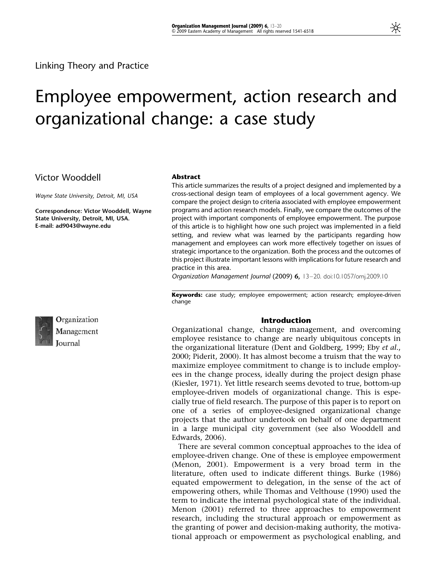# Employee empowerment, action research and organizational change: a case study

#### Victor Wooddell

Wayne State University, Detroit, MI, USA

Correspondence: Victor Wooddell, Wayne State University, Detroit, MI, USA. E-mail: ad9043@wayne.edu



Organization Management Journal

#### Abstract

This article summarizes the results of a project designed and implemented by a cross-sectional design team of employees of a local government agency. We compare the project design to criteria associated with employee empowerment programs and action research models. Finally, we compare the outcomes of the project with important components of employee empowerment. The purpose of this article is to highlight how one such project was implemented in a field setting, and review what was learned by the participants regarding how management and employees can work more effectively together on issues of strategic importance to the organization. Both the process and the outcomes of this project illustrate important lessons with implications for future research and practice in this area.

Organization Management Journal (2009) 6, 13–20. doi:10.1057/omj.2009.10

Keywords: case study; employee empowerment; action research; employee-driven change

#### Introduction

Organizational change, change management, and overcoming employee resistance to change are nearly ubiquitous concepts in the organizational literature (Dent and Goldberg, 1999; Eby et al., 2000; Piderit, 2000). It has almost become a truism that the way to maximize employee commitment to change is to include employees in the change process, ideally during the project design phase (Kiesler, 1971). Yet little research seems devoted to true, bottom-up employee-driven models of organizational change. This is especially true of field research. The purpose of this paper is to report on one of a series of employee-designed organizational change projects that the author undertook on behalf of one department in a large municipal city government (see also Wooddell and Edwards, 2006).

There are several common conceptual approaches to the idea of employee-driven change. One of these is employee empowerment (Menon, 2001). Empowerment is a very broad term in the literature, often used to indicate different things. Burke (1986) equated empowerment to delegation, in the sense of the act of empowering others, while Thomas and Velthouse (1990) used the term to indicate the internal psychological state of the individual. Menon (2001) referred to three approaches to empowerment research, including the structural approach or empowerment as the granting of power and decision-making authority, the motivational approach or empowerment as psychological enabling, and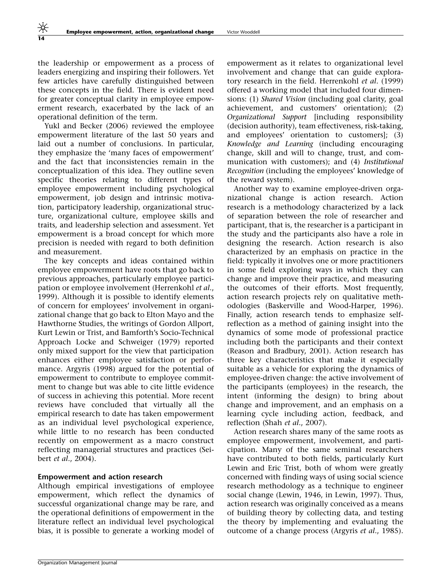the leadership or empowerment as a process of leaders energizing and inspiring their followers. Yet few articles have carefully distinguished between these concepts in the field. There is evident need for greater conceptual clarity in employee empowerment research, exacerbated by the lack of an operational definition of the term.

Yukl and Becker (2006) reviewed the employee empowerment literature of the last 50 years and laid out a number of conclusions. In particular, they emphasize the 'many faces of empowerment' and the fact that inconsistencies remain in the conceptualization of this idea. They outline seven specific theories relating to different types of employee empowerment including psychological empowerment, job design and intrinsic motivation, participatory leadership, organizational structure, organizational culture, employee skills and traits, and leadership selection and assessment. Yet empowerment is a broad concept for which more precision is needed with regard to both definition and measurement.

The key concepts and ideas contained within employee empowerment have roots that go back to previous approaches, particularly employee participation or employee involvement (Herrenkohl et al., 1999). Although it is possible to identify elements of concern for employees' involvement in organizational change that go back to Elton Mayo and the Hawthorne Studies, the writings of Gordon Allport, Kurt Lewin or Trist, and Bamforth's Socio-Technical Approach Locke and Schweiger (1979) reported only mixed support for the view that participation enhances either employee satisfaction or performance. Argyris (1998) argued for the potential of empowerment to contribute to employee commitment to change but was able to cite little evidence of success in achieving this potential. More recent reviews have concluded that virtually all the empirical research to date has taken empowerment as an individual level psychological experience, while little to no research has been conducted recently on empowerment as a macro construct reflecting managerial structures and practices (Seibert et al., 2004).

#### Empowerment and action research

Although empirical investigations of employee empowerment, which reflect the dynamics of successful organizational change may be rare, and the operational definitions of empowerment in the literature reflect an individual level psychological bias, it is possible to generate a working model of empowerment as it relates to organizational level involvement and change that can guide exploratory research in the field. Herrenkohl et al. (1999) offered a working model that included four dimensions: (1) Shared Vision (including goal clarity, goal achievement, and customers' orientation); (2) Organizational Support [including responsibility (decision authority), team effectiveness, risk-taking, and employees' orientation to customers]; (3) Knowledge and Learning (including encouraging change, skill and will to change, trust, and communication with customers); and (4) Institutional Recognition (including the employees' knowledge of the reward system).

Another way to examine employee-driven organizational change is action research. Action research is a methodology characterized by a lack of separation between the role of researcher and participant, that is, the researcher is a participant in the study and the participants also have a role in designing the research. Action research is also characterized by an emphasis on practice in the field: typically it involves one or more practitioners in some field exploring ways in which they can change and improve their practice, and measuring the outcomes of their efforts. Most frequently, action research projects rely on qualitative methodologies (Baskerville and Wood-Harper, 1996). Finally, action research tends to emphasize selfreflection as a method of gaining insight into the dynamics of some mode of professional practice including both the participants and their context (Reason and Bradbury, 2001). Action research has three key characteristics that make it especially suitable as a vehicle for exploring the dynamics of employee-driven change: the active involvement of the participants (employees) in the research, the intent (informing the design) to bring about change and improvement, and an emphasis on a learning cycle including action, feedback, and reflection (Shah et al., 2007).

Action research shares many of the same roots as employee empowerment, involvement, and participation. Many of the same seminal researchers have contributed to both fields, particularly Kurt Lewin and Eric Trist, both of whom were greatly concerned with finding ways of using social science research methodology as a technique to engineer social change (Lewin, 1946, in Lewin, 1997). Thus, action research was originally conceived as a means of building theory by collecting data, and testing the theory by implementing and evaluating the outcome of a change process (Argyris et al., 1985).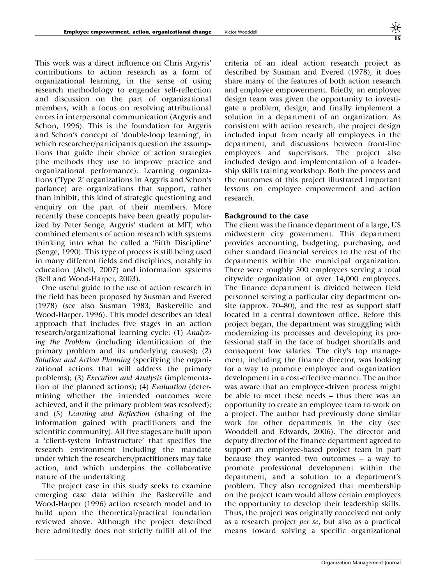This work was a direct influence on Chris Argyris' contributions to action research as a form of organizational learning, in the sense of using research methodology to engender self-reflection and discussion on the part of organizational members, with a focus on resolving attributional errors in interpersonal communication (Argyris and Schon, 1996). This is the foundation for Argyris and Schon's concept of 'double-loop learning', in which researcher/participants question the assumptions that guide their choice of action strategies (the methods they use to improve practice and organizational performance). Learning organizations ('Type 2' organizations in Argyris and Schon's parlance) are organizations that support, rather than inhibit, this kind of strategic questioning and enquiry on the part of their members. More recently these concepts have been greatly popularized by Peter Senge, Argyris' student at MIT, who combined elements of action research with systems thinking into what he called a 'Fifth Discipline' (Senge, 1990). This type of process is still being used in many different fields and disciplines, notably in education (Abell, 2007) and information systems (Bell and Wood-Harper, 2003).

One useful guide to the use of action research in the field has been proposed by Susman and Evered (1978) (see also Susman 1983; Baskerville and Wood-Harper, 1996). This model describes an ideal approach that includes five stages in an action research/organizational learning cycle: (1) Analyzing the Problem (including identification of the primary problem and its underlying causes); (2) Solution and Action Planning (specifying the organizational actions that will address the primary problems); (3) Execution and Analysis (implementation of the planned actions); (4) Evaluation (determining whether the intended outcomes were achieved, and if the primary problem was resolved); and (5) Learning and Reflection (sharing of the information gained with practitioners and the scientific community). All five stages are built upon a 'client-system infrastructure' that specifies the research environment including the mandate under which the researchers/practitioners may take action, and which underpins the collaborative nature of the undertaking.

The project case in this study seeks to examine emerging case data within the Baskerville and Wood-Harper (1996) action research model and to build upon the theoretical/practical foundation reviewed above. Although the project described here admittedly does not strictly fulfill all of the criteria of an ideal action research project as described by Susman and Evered (1978), it does share many of the features of both action research and employee empowerment. Briefly, an employee design team was given the opportunity to investigate a problem, design, and finally implement a solution in a department of an organization. As consistent with action research, the project design included input from nearly all employees in the department, and discussions between front-line employees and supervisors. The project also included design and implementation of a leadership skills training workshop. Both the process and the outcomes of this project illustrated important lessons on employee empowerment and action research.

#### Background to the case

The client was the finance department of a large, US midwestern city government. This department provides accounting, budgeting, purchasing, and other standard financial services to the rest of the departments within the municipal organization. There were roughly 500 employees serving a total citywide organization of over 14,000 employees. The finance department is divided between field personnel serving a particular city department onsite (approx. 70–80), and the rest as support staff located in a central downtown office. Before this project began, the department was struggling with modernizing its processes and developing its professional staff in the face of budget shortfalls and consequent low salaries. The city's top management, including the finance director, was looking for a way to promote employee and organization development in a cost-effective manner. The author was aware that an employee-driven process might be able to meet these needs – thus there was an opportunity to create an employee team to work on a project. The author had previously done similar work for other departments in the city (see Wooddell and Edwards, 2006). The director and deputy director of the finance department agreed to support an employee-based project team in part because they wanted two outcomes – a way to promote professional development within the department, and a solution to a department's problem. They also recognized that membership on the project team would allow certain employees the opportunity to develop their leadership skills. Thus, the project was originally conceived not only as a research project per se, but also as a practical means toward solving a specific organizational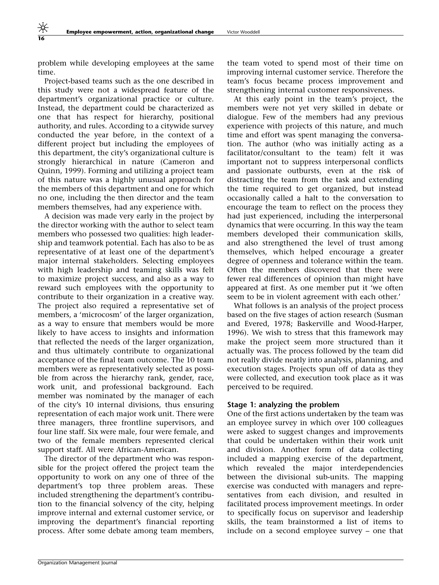problem while developing employees at the same time.

Project-based teams such as the one described in this study were not a widespread feature of the department's organizational practice or culture. Instead, the department could be characterized as one that has respect for hierarchy, positional authority, and rules. According to a citywide survey conducted the year before, in the context of a different project but including the employees of this department, the city's organizational culture is strongly hierarchical in nature (Cameron and Quinn, 1999). Forming and utilizing a project team of this nature was a highly unusual approach for the members of this department and one for which no one, including the then director and the team members themselves, had any experience with.

A decision was made very early in the project by the director working with the author to select team members who possessed two qualities: high leadership and teamwork potential. Each has also to be as representative of at least one of the department's major internal stakeholders. Selecting employees with high leadership and teaming skills was felt to maximize project success, and also as a way to reward such employees with the opportunity to contribute to their organization in a creative way. The project also required a representative set of members, a 'microcosm' of the larger organization, as a way to ensure that members would be more likely to have access to insights and information that reflected the needs of the larger organization, and thus ultimately contribute to organizational acceptance of the final team outcome. The 10 team members were as representatively selected as possible from across the hierarchy rank, gender, race, work unit, and professional background. Each member was nominated by the manager of each of the city's 10 internal divisions, thus ensuring representation of each major work unit. There were three managers, three frontline supervisors, and four line staff. Six were male, four were female, and two of the female members represented clerical support staff. All were African-American.

The director of the department who was responsible for the project offered the project team the opportunity to work on any one of three of the department's top three problem areas. These included strengthening the department's contribution to the financial solvency of the city, helping improve internal and external customer service, or improving the department's financial reporting process. After some debate among team members, the team voted to spend most of their time on improving internal customer service. Therefore the team's focus became process improvement and strengthening internal customer responsiveness.

At this early point in the team's project, the members were not yet very skilled in debate or dialogue. Few of the members had any previous experience with projects of this nature, and much time and effort was spent managing the conversation. The author (who was initially acting as a facilitator/consultant to the team) felt it was important not to suppress interpersonal conflicts and passionate outbursts, even at the risk of distracting the team from the task and extending the time required to get organized, but instead occasionally called a halt to the conversation to encourage the team to reflect on the process they had just experienced, including the interpersonal dynamics that were occurring. In this way the team members developed their communication skills, and also strengthened the level of trust among themselves, which helped encourage a greater degree of openness and tolerance within the team. Often the members discovered that there were fewer real differences of opinion than might have appeared at first. As one member put it 'we often seem to be in violent agreement with each other.'

What follows is an analysis of the project process based on the five stages of action research (Susman and Evered, 1978; Baskerville and Wood-Harper, 1996). We wish to stress that this framework may make the project seem more structured than it actually was. The process followed by the team did not really divide neatly into analysis, planning, and execution stages. Projects spun off of data as they were collected, and execution took place as it was perceived to be required.

#### Stage 1: analyzing the problem

One of the first actions undertaken by the team was an employee survey in which over 100 colleagues were asked to suggest changes and improvements that could be undertaken within their work unit and division. Another form of data collecting included a mapping exercise of the department, which revealed the major interdependencies between the divisional sub-units. The mapping exercise was conducted with managers and representatives from each division, and resulted in facilitated process improvement meetings. In order to specifically focus on supervisor and leadership skills, the team brainstormed a list of items to include on a second employee survey – one that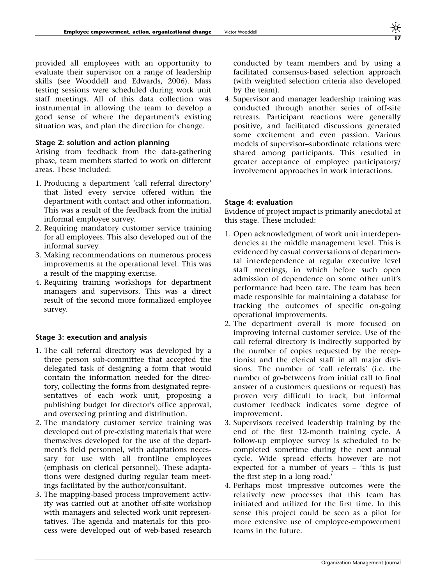provided all employees with an opportunity to evaluate their supervisor on a range of leadership skills (see Wooddell and Edwards, 2006). Mass testing sessions were scheduled during work unit staff meetings. All of this data collection was instrumental in allowing the team to develop a good sense of where the department's existing situation was, and plan the direction for change.

#### Stage 2: solution and action planning

Arising from feedback from the data-gathering phase, team members started to work on different areas. These included:

- 1. Producing a department 'call referral directory' that listed every service offered within the department with contact and other information. This was a result of the feedback from the initial informal employee survey.
- 2. Requiring mandatory customer service training for all employees. This also developed out of the informal survey.
- 3. Making recommendations on numerous process improvements at the operational level. This was a result of the mapping exercise.
- 4. Requiring training workshops for department managers and supervisors. This was a direct result of the second more formalized employee survey.

#### Stage 3: execution and analysis

- 1. The call referral directory was developed by a three person sub-committee that accepted the delegated task of designing a form that would contain the information needed for the directory, collecting the forms from designated representatives of each work unit, proposing a publishing budget for director's office approval, and overseeing printing and distribution.
- 2. The mandatory customer service training was developed out of pre-existing materials that were themselves developed for the use of the department's field personnel, with adaptations necessary for use with all frontline employees (emphasis on clerical personnel). These adaptations were designed during regular team meetings facilitated by the author/consultant.
- 3. The mapping-based process improvement activity was carried out at another off-site workshop with managers and selected work unit representatives. The agenda and materials for this process were developed out of web-based research

conducted by team members and by using a facilitated consensus-based selection approach (with weighted selection criteria also developed by the team).

4. Supervisor and manager leadership training was conducted through another series of off-site retreats. Participant reactions were generally positive, and facilitated discussions generated some excitement and even passion. Various models of supervisor–subordinate relations were shared among participants. This resulted in greater acceptance of employee participatory/ involvement approaches in work interactions.

#### Stage 4: evaluation

Evidence of project impact is primarily anecdotal at this stage. These included:

- 1. Open acknowledgment of work unit interdependencies at the middle management level. This is evidenced by casual conversations of departmental interdependence at regular executive level staff meetings, in which before such open admission of dependence on some other unit's performance had been rare. The team has been made responsible for maintaining a database for tracking the outcomes of specific on-going operational improvements.
- 2. The department overall is more focused on improving internal customer service. Use of the call referral directory is indirectly supported by the number of copies requested by the receptionist and the clerical staff in all major divisions. The number of 'call referrals' (i.e. the number of go-betweens from initial call to final answer of a customers questions or request) has proven very difficult to track, but informal customer feedback indicates some degree of improvement.
- 3. Supervisors received leadership training by the end of the first 12-month training cycle. A follow-up employee survey is scheduled to be completed sometime during the next annual cycle. Wide spread effects however are not expected for a number of years – 'this is just the first step in a long road.'
- 4. Perhaps most impressive outcomes were the relatively new processes that this team has initiated and utilized for the first time. In this sense this project could be seen as a pilot for more extensive use of employee-empowerment teams in the future.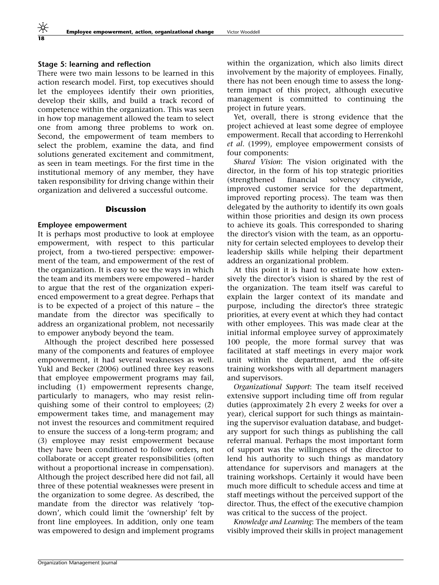### Stage 5: learning and reflection

There were two main lessons to be learned in this action research model. First, top executives should let the employees identify their own priorities, develop their skills, and build a track record of competence within the organization. This was seen in how top management allowed the team to select one from among three problems to work on. Second, the empowerment of team members to select the problem, examine the data, and find solutions generated excitement and commitment, as seen in team meetings. For the first time in the institutional memory of any member, they have taken responsibility for driving change within their organization and delivered a successful outcome.

#### Discussion

#### Employee empowerment

It is perhaps most productive to look at employee empowerment, with respect to this particular project, from a two-tiered perspective: empowerment of the team, and empowerment of the rest of the organization. It is easy to see the ways in which the team and its members were empowered – harder to argue that the rest of the organization experienced empowerment to a great degree. Perhaps that is to be expected of a project of this nature – the mandate from the director was specifically to address an organizational problem, not necessarily to empower anybody beyond the team.

Although the project described here possessed many of the components and features of employee empowerment, it had several weaknesses as well. Yukl and Becker (2006) outlined three key reasons that employee empowerment programs may fail, including (1) empowerment represents change, particularly to managers, who may resist relinquishing some of their control to employees; (2) empowerment takes time, and management may not invest the resources and commitment required to ensure the success of a long-term program; and (3) employee may resist empowerment because they have been conditioned to follow orders, not collaborate or accept greater responsibilities (often without a proportional increase in compensation). Although the project described here did not fail, all three of these potential weaknesses were present in the organization to some degree. As described, the mandate from the director was relatively 'topdown', which could limit the 'ownership' felt by front line employees. In addition, only one team was empowered to design and implement programs within the organization, which also limits direct involvement by the majority of employees. Finally, there has not been enough time to assess the longterm impact of this project, although executive management is committed to continuing the project in future years.

Yet, overall, there is strong evidence that the project achieved at least some degree of employee empowerment. Recall that according to Herrenkohl et al. (1999), employee empowerment consists of four components:

Shared Vision: The vision originated with the director, in the form of his top strategic priorities (strengthened financial solvency citywide, improved customer service for the department, improved reporting process). The team was then delegated by the authority to identify its own goals within those priorities and design its own process to achieve its goals. This corresponded to sharing the director's vision with the team, as an opportunity for certain selected employees to develop their leadership skills while helping their department address an organizational problem.

At this point it is hard to estimate how extensively the director's vision is shared by the rest of the organization. The team itself was careful to explain the larger context of its mandate and purpose, including the director's three strategic priorities, at every event at which they had contact with other employees. This was made clear at the initial informal employee survey of approximately 100 people, the more formal survey that was facilitated at staff meetings in every major work unit within the department, and the off-site training workshops with all department managers and supervisors.

Organizational Support: The team itself received extensive support including time off from regular duties (approximately 2 h every 2 weeks for over a year), clerical support for such things as maintaining the supervisor evaluation database, and budgetary support for such things as publishing the call referral manual. Perhaps the most important form of support was the willingness of the director to lend his authority to such things as mandatory attendance for supervisors and managers at the training workshops. Certainly it would have been much more difficult to schedule access and time at staff meetings without the perceived support of the director. Thus, the effect of the executive champion was critical to the success of the project.

Knowledge and Learning: The members of the team visibly improved their skills in project management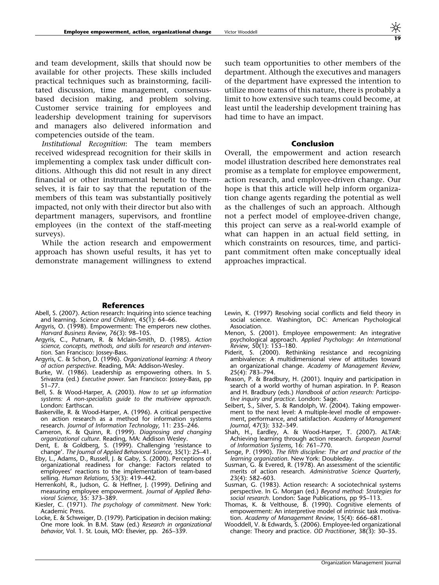and team development, skills that should now be available for other projects. These skills included practical techniques such as brainstorming, facilitated discussion, time management, consensusbased decision making, and problem solving. Customer service training for employees and leadership development training for supervisors and managers also delivered information and competencies outside of the team.

Institutional Recognition: The team members received widespread recognition for their skills in implementing a complex task under difficult conditions. Although this did not result in any direct financial or other instrumental benefit to themselves, it is fair to say that the reputation of the members of this team was substantially positively impacted, not only with their director but also with department managers, supervisors, and frontline employees (in the context of the staff-meeting surveys).

While the action research and empowerment approach has shown useful results, it has yet to demonstrate management willingness to extend such team opportunities to other members of the department. Although the executives and managers of the department have expressed the intention to utilize more teams of this nature, there is probably a limit to how extensive such teams could become, at least until the leadership development training has had time to have an impact.

#### Conclusion

Overall, the empowerment and action research model illustration described here demonstrates real promise as a template for employee empowerment, action research, and employee-driven change. Our hope is that this article will help inform organization change agents regarding the potential as well as the challenges of such an approach. Although not a perfect model of employee-driven change, this project can serve as a real-world example of what can happen in an actual field setting, in which constraints on resources, time, and participant commitment often make conceptually ideal approaches impractical.

#### References

- Abell, S. (2007). Action research: Inquiring into science teaching and learning. Science and Children,  $45(1)$ : 64–66.
- Argyris, O. (1998). Empowerment: The emperors new clothes. Harvard Business Review, 76(3): 98–105.
- Argyris, C., Putnam, R. & Mclain-Smith, D. (1985). Action science, concepts, methods, and skills for research and intervention. San Francisco: Jossey-Bass.
- Argyris, C. & Schon, D. (1996). Organizational learning: A theory of action perspective. Reading, MA: Addison-Wesley.
- Burke, W. (1986). Leadership as empowering others. In S. Srivastra (ed.) Executive power. San Francisco: Jossey-Bass, pp 51–77.
- Bell, S. & Wood-Harper, A. (2003). How to set up information systems: A non-specialists guide to the multiview approach. London: Earthscan.
- Baskerville, R. & Wood-Harper, A. (1996). A critical perspective on action research as a method for information systems research. Journal of Information Technology, 11: 235–246.
- Cameron, K. & Quinn, R. (1999). Diagnosing and changing organizational culture. Reading, MA: Addison Wesley.
- Dent, E. & Goldberg, S. (1999). Challenging 'resistance to change'. The Journal of Applied Behavioral Science, 35(1): 25–41.
- Eby, L., Adams, D., Russell, J. & Gaby, S. (2000). Perceptions of organizational readiness for change: Factors related to employees' reactions to the implementation of team-based selling. Human Relations, 53(3): 419–442.
- Herrenkohl, R., Judson, G. & Heffner, J. (1999). Defining and measuring employee empowerment. Journal of Applied Behavioral Science, 35: 373–389.
- Kiesler, C. (1971). The psychology of commitment. New York: Academic Press.
- Locke, E. & Schweiger, D. (1979). Participation in decision making: One more look. In B.M. Staw (ed.) Research in organizational behavior, Vol. 1. St. Louis, MO: Elsevier, pp. 265-339.
- Lewin, K. (1997) Resolving social conflicts and field theory in social science. Washington, DC: American Psychological Association.
- Menon, S. (2001). Employee empowerment: An integrative psychological approach. Applied Psychology: An International Review, 50(1): 153–180.
- Piderit, S. (2000). Rethinking resistance and recognizing ambivalence: A multidimensional view of attitudes toward an organizational change. Academy of Management Review, 25(4): 783–794.
- Reason, P. & Bradbury, H. (2001). Inquiry and participation in search of a world worthy of human aspiration. In P. Reason and H. Bradbury (eds.) Handbook of action research: Participative inquiry and practice. London: Sage.
- Seibert, S., Silver, S. & Randolph, W. (2004). Taking empowerment to the next level: A multiple-level modle of empowerment, performance, and satisfaction. Academy of Management Journal, 47(3): 332–349.
- Shah, H., Eardley, A. & Wood-Harper, T. (2007). ALTAR: Achieving learning through action research. European Journal of Information Systems, 16: 761–770.
- Senge, P. (1990). The fifth discipline: The art and practice of the learning organization. New York: Doubleday.
- Susman, G. & Evered, R. (1978). An assessment of the scientific merits of action research. Administrative Science Quarterly, 23(4): 582–603.
- Susman, G. (1983). Action research: A sociotechnical systems perspective. In G. Morgan (ed.) Beyond method: Strategies for social research. London: Sage Publications, pp 95–113.
- Thomas, K. & Velthouse, B. (1990). Cognitive elements of empowerment: An interpretive model of intrinsic task motivation. Academy of Management Review, 15(4): 666–681.
- Wooddell, V. & Edwards, S. (2006). Employee-led organizational change: Theory and practice. OD Practitioner, 38(3): 30–35.